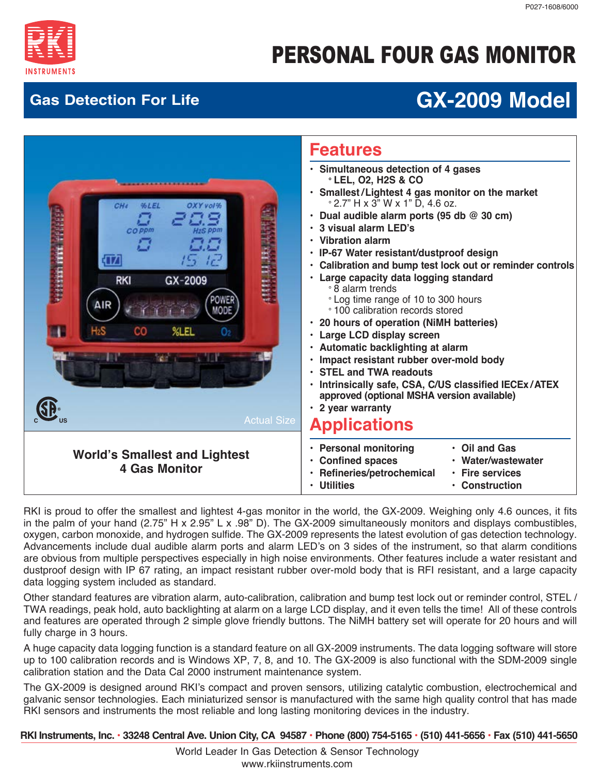

# PERSONAL FOUR GAS MONITOR

## **Gas Detection For Life GX-2009 Model**



RKI is proud to offer the smallest and lightest 4-gas monitor in the world, the GX-2009. Weighing only 4.6 ounces, it fits in the palm of your hand (2.75" H x 2.95" L x .98" D). The GX-2009 simultaneously monitors and displays combustibles, oxygen, carbon monoxide, and hydrogen sulfide. The GX-2009 represents the latest evolution of gas detection technology. Advancements include dual audible alarm ports and alarm LED's on 3 sides of the instrument, so that alarm conditions are obvious from multiple perspectives especially in high noise environments. Other features include a water resistant and dustproof design with IP 67 rating, an impact resistant rubber over-mold body that is RFI resistant, and a large capacity data logging system included as standard.

Other standard features are vibration alarm, auto-calibration, calibration and bump test lock out or reminder control, STEL / TWA readings, peak hold, auto backlighting at alarm on a large LCD display, and it even tells the time! All of these controls and features are operated through 2 simple glove friendly buttons. The NiMH battery set will operate for 20 hours and will fully charge in 3 hours.

A huge capacity data logging function is a standard feature on all GX-2009 instruments. The data logging software will store up to 100 calibration records and is Windows XP, 7, 8, and 10. The GX-2009 is also functional with the SDM-2009 single calibration station and the Data Cal 2000 instrument maintenance system.

The GX-2009 is designed around RKI's compact and proven sensors, utilizing catalytic combustion, electrochemical and galvanic sensor technologies. Each miniaturized sensor is manufactured with the same high quality control that has made RKI sensors and instruments the most reliable and long lasting monitoring devices in the industry.

 **RKI Instruments, Inc. • 33248 Central Ave. Union City, CA 94587 • Phone (800) 754-5165 • (510) 441-5656 • Fax (510) 441-5650**